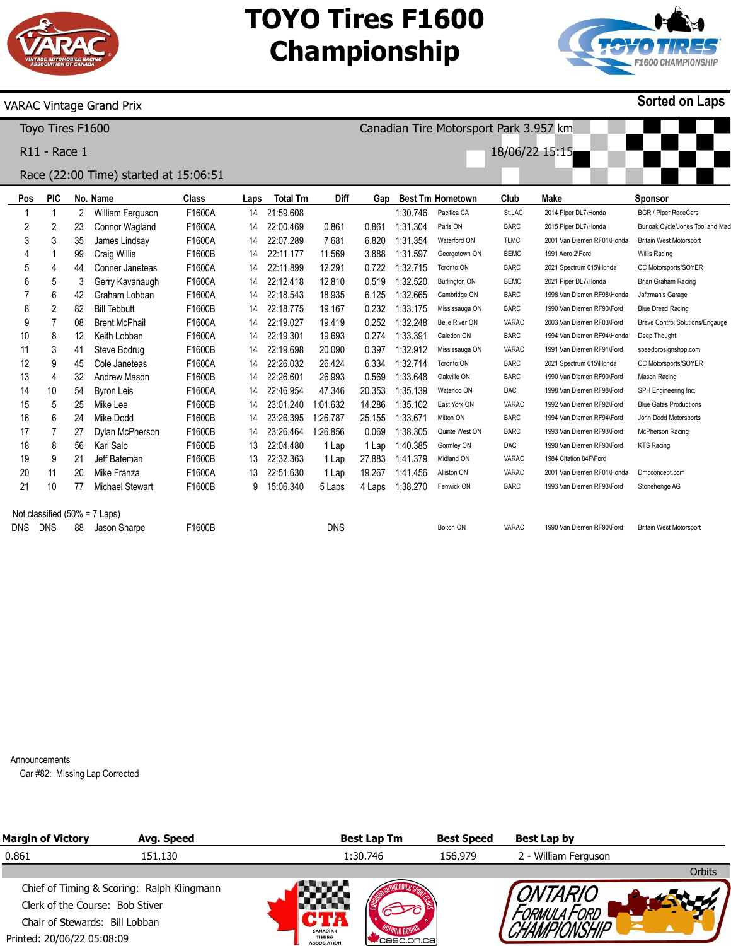

Canadian Tire Motorsport Park 3.957 km

18/06/22 15:15



**Sorted on Laps**

#### VARAC Vintage Grand Prix

Toyo Tires F1600

R11 - Race 1

### Race (22:00 Time) started at 15:06:51

| Pos        | <b>PIC</b>                       |    | No. Name               | Class  | Laps | <b>Total Tm</b> | Diff       | Gap    |          | <b>Best Tm Hometown</b> | Club        | Make                       | <b>Sponsor</b>                         |
|------------|----------------------------------|----|------------------------|--------|------|-----------------|------------|--------|----------|-------------------------|-------------|----------------------------|----------------------------------------|
|            | 1                                | 2  | William Ferguson       | F1600A | 14   | 21:59.608       |            |        | 1:30.746 | Pacifica CA             | St.LAC      | 2014 Piper DL7\Honda       | <b>BGR / Piper RaceCars</b>            |
| 2          | 2                                | 23 | Connor Wagland         | F1600A | 14   | 22:00.469       | 0.861      | 0.861  | 1:31.304 | Paris ON                | <b>BARC</b> | 2015 Piper DL7\Honda       | Burloak Cycle/Jones Tool and Mac       |
| 3          | 3                                | 35 | James Lindsay          | F1600A | 14   | 22:07.289       | 7.681      | 6.820  | 1:31.354 | Waterford ON            | <b>TLMC</b> | 2001 Van Diemen RF01\Honda | <b>Britain West Motorsport</b>         |
| 4          |                                  | 99 | Craig Willis           | F1600B | 14   | 22:11.177       | 11.569     | 3.888  | 1:31.597 | Georgetown ON           | <b>BEMC</b> | 1991 Aero 2\Ford           | <b>Willis Racing</b>                   |
| 5          | 4                                | 44 | Conner Janeteas        | F1600A | 14   | 22:11.899       | 12.291     | 0.722  | 1:32.715 | Toronto ON              | <b>BARC</b> | 2021 Spectrum 015\Honda    | CC Motorsports/SOYER                   |
| 6          | 5                                | 3  | Gerry Kavanaugh        | F1600A | 14   | 22:12.418       | 12.810     | 0.519  | 1:32.520 | <b>Burlington ON</b>    | <b>BEMC</b> | 2021 Piper DL7\Honda       | Brian Graham Racing                    |
|            | 6                                | 42 | Graham Lobban          | F1600A | 14   | 22:18.543       | 18.935     | 6.125  | 1:32.665 | Cambridge ON            | <b>BARC</b> | 1998 Van Diemen RF98\Honda | Jaftrman's Garage                      |
| 8          | 2                                | 82 | <b>Bill Tebbutt</b>    | F1600B | 14   | 22:18.775       | 19.167     | 0.232  | 1:33.175 | Mississauga ON          | <b>BARC</b> | 1990 Van Diemen RF90\Ford  | <b>Blue Dread Racing</b>               |
| 9          | 7                                | 08 | <b>Brent McPhail</b>   | F1600A | 14   | 22:19.027       | 19.419     | 0.252  | 1:32.248 | <b>Belle River ON</b>   | VARAC       | 2003 Van Diemen RF03\Ford  | <b>Brave Control Solutions/Engauge</b> |
| 10         | 8                                | 12 | Keith Lobban           | F1600A | 14   | 22:19.301       | 19.693     | 0.274  | 1:33.391 | Caledon ON              | <b>BARC</b> | 1994 Van Diemen RF94\Honda | Deep Thought                           |
| 11         | 3                                | 41 | Steve Bodrug           | F1600B | 14   | 22:19.698       | 20.090     | 0.397  | 1:32.912 | Mississauga ON          | VARAC       | 1991 Van Diemen RF91\Ford  | speedprosignshop.com                   |
| 12         | 9                                | 45 | Cole Janeteas          | F1600A | 14   | 22:26.032       | 26.424     | 6.334  | 1:32.714 | Toronto ON              | <b>BARC</b> | 2021 Spectrum 015\Honda    | CC Motorsports/SOYER                   |
| 13         | 4                                | 32 | Andrew Mason           | F1600B | 14   | 22:26.601       | 26.993     | 0.569  | 1:33.648 | Oakville ON             | <b>BARC</b> | 1990 Van Diemen RF90\Ford  | Mason Racing                           |
| 14         | 10                               | 54 | <b>Byron Leis</b>      | F1600A | 14   | 22:46.954       | 47.346     | 20.353 | 1:35.139 | Waterloo ON             | <b>DAC</b>  | 1998 Van Diemen RF98\Ford  | SPH Engineering Inc.                   |
| 15         | 5                                | 25 | Mike Lee               | F1600B | 14   | 23:01.240       | 1:01.632   | 14.286 | 1:35.102 | East York ON            | VARAC       | 1992 Van Diemen RF92\Ford  | <b>Blue Gates Productions</b>          |
| 16         | 6                                | 24 | Mike Dodd              | F1600B | 14   | 23:26.395       | 1:26.787   | 25.155 | 1:33.671 | Milton ON               | <b>BARC</b> | 1994 Van Diemen RF94\Ford  | John Dodd Motorsports                  |
| 17         | 7                                | 27 | Dylan McPherson        | F1600B | 14   | 23:26.464       | :26.856    | 0.069  | 1:38.305 | Quinte West ON          | <b>BARC</b> | 1993 Van Diemen RF93\Ford  | McPherson Racing                       |
| 18         | 8                                | 56 | Kari Salo              | F1600B | 13   | 22:04.480       | 1 Lap      | 1 Lap  | 1:40.385 | Gormley ON              | <b>DAC</b>  | 1990 Van Diemen RF90\Ford  | <b>KTS Racing</b>                      |
| 19         | 9                                | 21 | Jeff Bateman           | F1600B | 13   | 22:32.363       | 1 Lap      | 27.883 | 1:41.379 | Midland ON              | VARAC       | 1984 Citation 84F\Ford     |                                        |
| 20         | 11                               | 20 | Mike Franza            | F1600A | 13   | 22:51.630       | 1 Lap      | 19.267 | 1:41.456 | Alliston ON             | VARAC       | 2001 Van Diemen RF01\Honda | Dmcconcept.com                         |
| 21         | 10                               | 77 | <b>Michael Stewart</b> | F1600B | 9    | 15:06.340       | 5 Laps     | 4 Laps | 1:38.270 | Fenwick ON              | <b>BARC</b> | 1993 Van Diemen RF93\Ford  | Stonehenge AG                          |
|            | Not classified $(50\% = 7$ Laps) |    |                        |        |      |                 |            |        |          |                         |             |                            |                                        |
| <b>DNS</b> | <b>DNS</b>                       | 88 | Jason Sharpe           | F1600B |      |                 | <b>DNS</b> |        |          | Bolton ON               | VARAC       | 1990 Van Diemen RF90\Ford  | <b>Britain West Motorsport</b>         |

Announcements

Car #82: Missing Lap Corrected

| <b>Margin of Victory</b>        | Avg. Speed                                 |                                                 | <b>Best Lap Tm</b> | <b>Best Speed</b> | Best Lap by          |        |
|---------------------------------|--------------------------------------------|-------------------------------------------------|--------------------|-------------------|----------------------|--------|
| 0.861                           | 151.130                                    |                                                 | 1:30.746           | 156.979           | 2 - William Ferguson |        |
|                                 |                                            |                                                 |                    |                   |                      | Orbits |
|                                 | Chief of Timing & Scoring: Ralph Klingmann |                                                 |                    |                   |                      |        |
| Clerk of the Course: Bob Stiver |                                            |                                                 |                    |                   |                      |        |
| Chair of Stewards: Bill Lobban  |                                            |                                                 |                    |                   |                      |        |
| Printed: 20/06/22 05:08:09      |                                            | CANADIAN<br><b>TIMING</b><br><b>ASSOCIATION</b> | casc.on.cal        |                   |                      |        |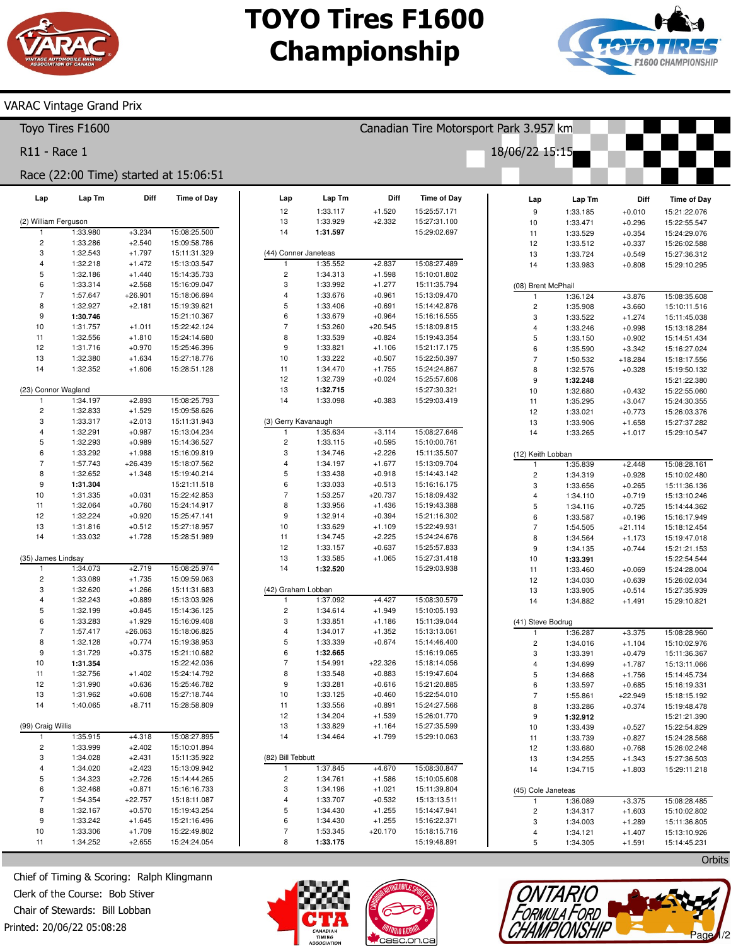Canadian Tire Motorsport Park 3.957 km

18/06/22 15:15



### VARAC Vintage Grand Prix

Toyo Tires F1600

R11 - Race 1

### Race (22:00 Time) started at 15:06:51

| Lap                     | Lap Tm               | Diff                  | <b>Time of Day</b>           | Lap                          | Lap Tm                         | Diff                 | <b>Time of Day</b>           | Lap                                   | Lap Tm               | Diff                 | <b>Time of Day</b>           |
|-------------------------|----------------------|-----------------------|------------------------------|------------------------------|--------------------------------|----------------------|------------------------------|---------------------------------------|----------------------|----------------------|------------------------------|
|                         |                      |                       |                              | 12                           | 1:33.117                       | $+1.520$             | 15:25:57.171                 | $\boldsymbol{9}$                      | 1:33.185             | $+0.010$             | 15:21:22.076                 |
| (2) William Ferguson    |                      |                       |                              | 13                           | 1:33.929                       | $+2.332$             | 15:27:31.100                 | 10                                    | 1:33.471             | $+0.296$             | 15:22:55.547                 |
| $\mathbf{1}$            | 1:33.980             | $+3.234$              | 15:08:25.500                 | 14                           | 1:31.597                       |                      | 15:29:02.697                 | 11                                    | 1:33.529             | $+0.354$             | 15:24:29.076                 |
| $\sqrt{2}$              | 1:33.286             | $+2.540$              | 15:09:58.786                 |                              |                                |                      |                              | 12                                    | 1:33.512             | $+0.337$             | 15:26:02.588                 |
| 3                       | 1:32.543             | $+1.797$              | 15:11:31.329                 |                              | (44) Conner Janeteas           |                      |                              | 13                                    | 1:33.724             | $+0.549$             | 15:27:36.312                 |
| $\overline{4}$          | 1:32.218             | $+1.472$              | 15:13:03.547                 | $\overline{1}$               | 1:35.552                       | $+2.837$             | 15:08:27.489                 | 14                                    | 1:33.983             | $+0.808$             | 15:29:10.295                 |
| 5<br>6                  | 1:32.186             | $+1.440$              | 15:14:35.733                 | $\overline{c}$<br>$\sqrt{3}$ | 1:34.313                       | $+1.598$             | 15:10:01.802                 |                                       |                      |                      |                              |
| $\overline{7}$          | 1:33.314<br>1:57.647 | $+2.568$<br>$+26.901$ | 15:16:09.047<br>15:18:06.694 | $\sqrt{4}$                   | 1:33.992<br>1:33.676           | $+1.277$<br>$+0.961$ | 15:11:35.794<br>15:13:09.470 | (08) Brent McPhail                    |                      |                      |                              |
| 8                       | 1:32.927             | $+2.181$              | 15:19:39.621                 | $\sqrt{5}$                   | 1:33.406                       | $+0.691$             | 15:14:42.876                 | 1                                     | 1:36.124             | $+3.876$             | 15:08:35.608<br>15:10:11.516 |
| 9                       | 1:30.746             |                       | 15:21:10.367                 | $\,6$                        | 1:33.679                       | $+0.964$             | 15:16:16.555                 | $\overline{\mathbf{c}}$<br>$\sqrt{3}$ | 1:35.908             | $+3.660$<br>$+1.274$ | 15:11:45.038                 |
| 10                      | 1:31.757             | $+1.011$              | 15:22:42.124                 | $\overline{7}$               | 1:53.260                       | $+20.545$            | 15:18:09.815                 | $\overline{4}$                        | 1:33.522<br>1:33.246 | $+0.998$             | 15:13:18.284                 |
| 11                      | 1:32.556             | $+1.810$              | 15:24:14.680                 | 8                            | 1:33.539                       | $+0.824$             | 15:19:43.354                 | $\overline{5}$                        | 1:33.150             | $+0.902$             | 15:14:51.434                 |
| 12                      | 1:31.716             | $+0.970$              | 15:25:46.396                 | $\boldsymbol{9}$             | 1:33.821                       | $+1.106$             | 15:21:17.175                 | $\,6\,$                               | 1:35.590             | $+3.342$             | 15:16:27.024                 |
| 13                      | 1:32.380             | $+1.634$              | 15:27:18.776                 | 10                           | 1:33.222                       | $+0.507$             | 15:22:50.397                 | $\overline{7}$                        | 1:50.532             | $+18.284$            | 15:18:17.556                 |
| 14                      | 1:32.352             | $+1.606$              | 15:28:51.128                 | 11                           | 1:34.470                       | $+1.755$             | 15:24:24.867                 | 8                                     | 1:32.576             | $+0.328$             | 15:19:50.132                 |
|                         |                      |                       |                              | 12                           | 1:32.739                       | $+0.024$             | 15:25:57.606                 | $\boldsymbol{9}$                      | 1:32.248             |                      | 15:21:22.380                 |
| (23) Connor Wagland     |                      |                       |                              | 13                           | 1:32.715                       |                      | 15:27:30.321                 | 10                                    | 1:32.680             | $+0.432$             | 15:22:55.060                 |
| -1                      | 1:34.197             | $+2.893$              | 15:08:25.793                 | 14                           | 1:33.098                       | $+0.383$             | 15:29:03.419                 | 11                                    | 1:35.295             | $+3.047$             | 15:24:30.355                 |
| $\overline{\mathbf{c}}$ | 1:32.833             | $+1.529$              | 15:09:58.626                 |                              |                                |                      |                              | 12                                    | 1:33.021             | $+0.773$             | 15:26:03.376                 |
| 3                       | 1:33.317             | $+2.013$              | 15:11:31.943                 |                              | (3) Gerry Kavanaugh            |                      |                              | 13                                    | 1:33.906             | $+1.658$             | 15:27:37.282                 |
| 4                       | 1:32.291             | $+0.987$              | 15:13:04.234                 | $\overline{1}$               | 1:35.634                       | $+3.114$             | 15:08:27.646                 | 14                                    | 1:33.265             | $+1.017$             | 15:29:10.547                 |
| 5                       | 1:32.293             | $+0.989$              | 15:14:36.527                 | $\mathbf 2$                  | 1:33.115                       | $+0.595$             | 15:10:00.761                 |                                       |                      |                      |                              |
| 6                       | 1:33.292             | $+1.988$              | 15:16:09.819                 | 3                            | 1:34.746                       | $+2.226$             | 15:11:35.507                 | (12) Keith Lobban                     |                      |                      |                              |
| $\overline{7}$          | 1:57.743             | $+26.439$             | 15:18:07.562                 | $\sqrt{4}$                   | 1:34.197                       | $+1.677$             | 15:13:09.704                 | 1                                     | 1:35.839             | $+2.448$             | 15:08:28.161                 |
| 8                       | 1:32.652             | $+1.348$              | 15:19:40.214                 | 5                            | 1:33.438                       | $+0.918$             | 15:14:43.142                 | $\overline{\mathbf{c}}$               | 1:34.319             | $+0.928$             | 15:10:02.480                 |
| 9                       | 1:31.304             |                       | 15:21:11.518                 | $\,6\,$                      | 1:33.033                       | $+0.513$             | 15:16:16.175                 | $\sqrt{3}$                            | 1:33.656             | $+0.265$             | 15:11:36.136                 |
| 10                      | 1:31.335             | $+0.031$              | 15:22:42.853                 | $\overline{7}$               | 1:53.257                       | $+20.737$            | 15:18:09.432                 | $\overline{4}$                        | 1:34.110             | $+0.719$             | 15:13:10.246                 |
| 11                      | 1:32.064             | $+0.760$              | 15:24:14.917                 | 8                            | 1:33.956                       | $+1.436$             | 15:19:43.388                 | $\overline{5}$                        | 1:34.116             | $+0.725$             | 15:14:44.362                 |
| 12                      | 1:32.224             | $+0.920$              | 15:25:47.141                 | $\boldsymbol{9}$             | 1:32.914                       | $+0.394$             | 15:21:16.302                 | $\,6\,$                               | 1:33.587             | $+0.196$             | 15:16:17.949                 |
| 13                      | 1:31.816             | $+0.512$              | 15:27:18.957                 | 10                           | 1:33.629                       | $+1.109$             | 15:22:49.931                 | $\overline{7}$                        | 1:54.505             | $+21.114$            | 15:18:12.454                 |
| 14                      | 1:33.032             | $+1.728$              | 15:28:51.989                 | 11                           | 1:34.745                       | $+2.225$             | 15:24:24.676                 | 8                                     | 1:34.564             | $+1.173$             | 15:19:47.018                 |
|                         |                      |                       |                              | 12                           | 1:33.157                       | $+0.637$             | 15:25:57.833                 | $\boldsymbol{9}$                      | 1:34.135             | $+0.744$             | 15:21:21.153                 |
| (35) James Lindsay      |                      |                       |                              | 13                           | 1:33.585                       | $+1.065$             | 15:27:31.418                 | 10                                    | 1:33.391             |                      | 15:22:54.544                 |
| $\mathbf{1}$            | 1:34.073             | $+2.719$              | 15:08:25.974                 | 14                           | 1:32.520                       |                      | 15:29:03.938                 | 11                                    | 1:33.460             | $+0.069$             | 15:24:28.004                 |
| $\overline{c}$<br>3     | 1:33.089<br>1:32.620 | $+1.735$<br>$+1.266$  | 15:09:59.063<br>15:11:31.683 |                              |                                |                      |                              | 12                                    | 1:34.030             | $+0.639$             | 15:26:02.034                 |
| 4                       | 1:32.243             | $+0.889$              | 15:13:03.926                 | $\overline{1}$               | (42) Graham Lobban<br>1:37.092 | $+4.427$             | 15:08:30.579                 | 13                                    | 1:33.905             | $+0.514$             | 15:27:35.939                 |
| 5                       | 1:32.199             | $+0.845$              | 15:14:36.125                 | $\overline{\mathbf{c}}$      | 1:34.614                       | $+1.949$             | 15:10:05.193                 | 14                                    | 1:34.882             | $+1.491$             | 15:29:10.821                 |
| 6                       | 1:33.283             | $+1.929$              | 15:16:09.408                 | 3                            | 1:33.851                       | $+1.186$             | 15:11:39.044                 | (41) Steve Bodrug                     |                      |                      |                              |
| 7                       | 1:57.417             | $+26.063$             | 15:18:06.825                 | $\sqrt{4}$                   | 1:34.017                       | $+1.352$             | 15:13:13.061                 | $\mathbf{1}$                          | 1:36.287             | $+3.375$             | 15:08:28.960                 |
| 8                       | 1:32.128             | $+0.774$              | 15:19:38.953                 | $\sqrt{5}$                   | 1:33.339                       | $+0.674$             | 15:14:46.400                 | $\sqrt{2}$                            | 1:34.016             | $+1.104$             | 15:10:02.976                 |
| 9                       | 1:31.729             | $+0.375$              | 15:21:10.682                 | $\,6\,$                      | 1:32.665                       |                      | 15:16:19.065                 | $\sqrt{3}$                            | 1:33.391             | $+0.479$             | 15:11:36.367                 |
| 10                      | 1:31.354             |                       | 15:22:42.036                 | $\overline{7}$               | 1:54.991                       | $+22.326$            | 15:18:14.056                 | $\overline{4}$                        | 1:34.699             | $+1.787$             | 15:13:11.066                 |
| 11                      | 1:32.756             | $+1.402$              | 15:24:14.792                 | 8                            | 1:33.548                       | $+0.883$             | 15:19:47.604                 | $\overline{5}$                        | 1:34.668             | $+1.756$             | 15:14:45.734                 |
| 12                      | 1:31.990             | $+0.636$              | 15:25:46.782                 | 9                            | 1:33.281                       | $+0.616$             | 15:21:20.885                 | 6                                     | 1:33.597             | $+0.685$             | 15:16:19.331                 |
| 13                      | 1:31.962             | $+0.608$              | 15:27:18.744                 | 10                           | 1:33.125                       | $+0.460$             | 15:22:54.010                 | $\overline{7}$                        | 1:55.861             | $+22.949$            | 15:18:15.192                 |
| 14                      | 1:40.065             | $+8.711$              | 15:28:58.809                 | 11                           | 1:33.556                       | $+0.891$             | 15:24:27.566                 | 8                                     | 1:33.286             | $+0.374$             | 15:19:48.478                 |
|                         |                      |                       |                              | 12                           | 1:34.204                       | $+1.539$             | 15:26:01.770                 | $\overline{9}$                        | 1:32.912             |                      | 15:21:21.390                 |
| (99) Craig Willis       |                      |                       |                              | 13                           | 1:33.829                       | $+1.164$             | 15:27:35.599                 | 10                                    | 1:33.439             | $+0.527$             | 15:22:54.829                 |
| $\mathbf{1}$            | 1:35.915             | $+4.318$              | 15:08:27.895                 | 14                           | 1:34.464                       | $+1.799$             | 15:29:10.063                 | 11                                    | 1:33.739             | $+0.827$             | 15:24:28.568                 |
| $\overline{\mathbf{c}}$ | 1:33.999             | $+2.402$              | 15:10:01.894                 |                              |                                |                      |                              | 12                                    | 1:33.680             | $+0.768$             | 15:26:02.248                 |
| 3                       | 1:34.028             | $+2.431$              | 15:11:35.922                 | (82) Bill Tebbutt            |                                |                      |                              | 13                                    | 1:34.255             | $+1.343$             | 15:27:36.503                 |
| 4                       | 1:34.020             | $+2.423$              | 15:13:09.942                 | $\mathbf{1}$                 | 1:37.845                       | $+4.670$             | 15:08:30.847                 | 14                                    | 1:34.715             | $+1.803$             | 15:29:11.218                 |
| 5                       | 1:34.323             | $+2.726$              | 15:14:44.265                 | $\overline{c}$               | 1:34.761                       | $+1.586$             | 15:10:05.608                 |                                       |                      |                      |                              |
| 6                       | 1:32.468             | $+0.871$              | 15:16:16.733                 | 3                            | 1:34.196                       | $+1.021$             | 15:11:39.804                 | (45) Cole Janeteas                    |                      |                      |                              |
| 7                       | 1:54.354             | $+22.757$             | 15:18:11.087                 | $\overline{4}$               | 1:33.707                       | $+0.532$             | 15:13:13.511                 | 1                                     | 1:36.089             | $+3.375$             | 15:08:28.485                 |
| 8                       | 1:32.167             | $+0.570$              | 15:19:43.254                 | 5                            | 1:34.430                       | $+1.255$             | 15:14:47.941                 | $\overline{\mathbf{c}}$               | 1:34.317             | $+1.603$             | 15:10:02.802                 |
| 9                       | 1:33.242             | $+1.645$              | 15:21:16.496                 | 6                            | 1:34.430                       | $+1.255$             | 15:16:22.371                 | 3                                     | 1:34.003             | $+1.289$             | 15:11:36.805                 |
| 10                      | 1:33.306             | $+1.709$              | 15:22:49.802                 | $\overline{7}$               | 1:53.345                       | $+20.170$            | 15:18:15.716                 | 4                                     | 1:34.121             | $+1.407$             | 15:13:10.926                 |
| 11                      | 1:34.252             | $+2.655$              | 15:24:24.054                 | 8                            | 1:33.175                       |                      | 15:19:48.891                 | 5                                     | 1:34.305             | $+1.591$             | 15:14:45.231                 |

Printed: 20/06/22 05:08:28 Chief of Timing & Scoring: Ralph Klingmann Clerk of the Course: Bob Stiver Chair of Stewards: Bill Lobban





**Orbits** 

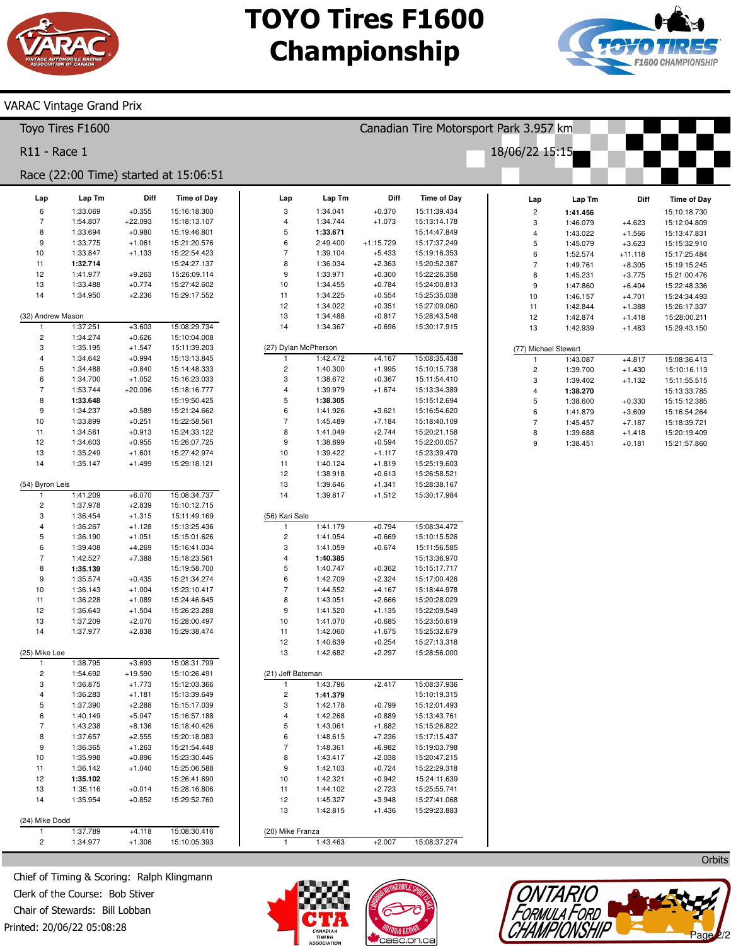

Canadian Tire Motorsport Park 3.957 km

18/06/22 15:15



### VARAC Vintage Grand Prix

Toyo Tires F1600

R11 - Race 1

### Race (22:00 Time) started at 15:06:51

| Lap                 | Lap Tm               | Diff                 | <b>Time of Day</b>           | Lap                        | Lap Tm               | Diff                 | <b>Time of Day</b>           | Lap                  | Lap Tm               | Diff                 | <b>Time of Day</b>           |
|---------------------|----------------------|----------------------|------------------------------|----------------------------|----------------------|----------------------|------------------------------|----------------------|----------------------|----------------------|------------------------------|
| 6                   | 1:33.069             | $+0.355$             | 15:16:18.300                 | 3                          | 1:34.041             | $+0.370$             | 15:11:39.434                 | $\overline{c}$       | 1:41.456             |                      | 15:10:18.730                 |
| $\overline{7}$      | 1:54.807             | $+22.093$            | 15:18:13.107                 | 4                          | 1:34.744             | $+1.073$             | 15:13:14.178                 | 3                    | 1:46.079             | $+4.623$             | 15:12:04.809                 |
| 8                   | 1:33.694             | $+0.980$             | 15:19:46.801                 | 5                          | 1:33.671             |                      | 15:14:47.849                 | 4                    | 1:43.022             | $+1.566$             | 15:13:47.831                 |
| 9                   | 1:33.775             | $+1.061$             | 15:21:20.576                 | 6                          | 2:49.400             | $+1:15.729$          | 15:17:37.249                 | 5                    | 1:45.079             | $+3.623$             | 15:15:32.910                 |
| 10                  | 1:33.847             | $+1.133$             | 15:22:54.423                 | $\overline{7}$             | 1:39.104             | $+5.433$             | 15:19:16.353                 | 6                    | 1:52.574             | $+11.118$            | 15:17:25.484                 |
| 11                  | 1:32.714             |                      | 15:24:27.137                 | 8                          | 1:36.034             | $+2.363$             | 15:20:52.387                 | $\overline{7}$       | 1:49.761             | $+8.305$             | 15:19:15.245                 |
| 12                  | 1:41.977             | $+9.263$             | 15:26:09.114                 | 9                          | 1:33.971             | $+0.300$             | 15:22:26.358                 | 8                    | 1:45.231             | $+3.775$             | 15:21:00.476                 |
| 13                  | 1:33.488             | $+0.774$             | 15:27:42.602                 | 10                         | 1:34.455             | $+0.784$             | 15:24:00.813                 | 9                    | 1:47.860             | $+6.404$             | 15:22:48.336                 |
| 14                  | 1:34.950             | $+2.236$             | 15:29:17.552                 | 11                         | 1:34.225             | $+0.554$             | 15:25:35.038                 | 10                   | 1:46.157             | $+4.701$             | 15:24:34.493                 |
|                     |                      |                      |                              | 12                         | 1:34.022             | $+0.351$             | 15:27:09.060                 | 11                   | 1:42.844             | $+1.388$             | 15:26:17.337                 |
| (32) Andrew Mason   |                      |                      |                              | 13                         | 1:34.488             | $+0.817$             | 15:28:43.548                 | 12                   | 1:42.874             | $+1.418$             | 15:28:00.211                 |
| $\mathbf{1}$        | 1:37.251             | $+3.603$             | 15:08:29.734                 | 14                         | 1:34.367             | $+0.696$             | 15:30:17.915                 | 13                   | 1:42.939             | $+1.483$             | 15:29:43.150                 |
| $\overline{c}$      | 1:34.274             | $+0.626$             | 15:10:04.008                 |                            |                      |                      |                              |                      |                      |                      |                              |
| 3                   | 1:35.195             | $+1.547$             | 15:11:39.203                 |                            | (27) Dylan McPherson |                      |                              | (77) Michael Stewart |                      |                      |                              |
| 4                   | 1:34.642             | $+0.994$             | 15:13:13.845                 | 1<br>$\overline{c}$        | 1:42.472             | $+4.167$             | 15:08:35.438                 | $\mathbf{1}$         | 1:43.087             | $+4.817$             | 15:08:36.413                 |
| 5                   | 1:34.488<br>1:34.700 | $+0.840$<br>$+1.052$ | 15:14:48.333<br>15:16:23.033 | 3                          | 1:40.300<br>1:38.672 | $+1.995$<br>$+0.367$ | 15:10:15.738<br>15:11:54.410 | $\overline{c}$       | 1:39.700             | $+1.430$             | 15:10:16.113                 |
| 6<br>$\overline{7}$ | 1:53.744             | $+20.096$            | 15:18:16.777                 | 4                          | 1:39.979             | $+1.674$             | 15:13:34.389                 | 3                    | 1:39.402             | $+1.132$             | 15:11:55.515                 |
| 8                   | 1:33.648             |                      | 15:19:50.425                 | $\mathbf 5$                | 1:38.305             |                      | 15:15:12.694                 | 4                    | 1:38.270             |                      | 15:13:33.785                 |
| 9                   | 1:34.237             | $+0.589$             | 15:21:24.662                 | 6                          | 1:41.926             | $+3.621$             | 15:16:54.620                 | 5                    | 1:38.600             | $+0.330$             | 15:15:12.385                 |
| 10                  | 1:33.899             | $+0.251$             | 15:22:58.561                 | $\overline{7}$             | 1:45.489             | $+7.184$             | 15:18:40.109                 | 6<br>$\overline{7}$  | 1:41.879             | $+3.609$             | 15:16:54.264                 |
| 11                  | 1:34.561             | $+0.913$             | 15:24:33.122                 | 8                          | 1:41.049             | $+2.744$             | 15:20:21.158                 | 8                    | 1:45.457             | $+7.187$             | 15:18:39.721                 |
| 12                  | 1:34.603             | $+0.955$             | 15:26:07.725                 | 9                          | 1:38.899             | $+0.594$             | 15:22:00.057                 | 9                    | 1:39.688<br>1:38.451 | $+1.418$<br>$+0.181$ | 15:20:19.409<br>15:21:57.860 |
| 13                  | 1:35.249             | $+1.601$             | 15:27:42.974                 | 10                         | 1:39.422             | $+1.117$             | 15:23:39.479                 |                      |                      |                      |                              |
| 14                  | 1:35.147             | $+1.499$             | 15:29:18.121                 | 11                         | 1:40.124             | $+1.819$             | 15:25:19.603                 |                      |                      |                      |                              |
|                     |                      |                      |                              | 12                         | 1:38.918             | $+0.613$             | 15:26:58.521                 |                      |                      |                      |                              |
| (54) Byron Leis     |                      |                      |                              | 13                         | 1:39.646             | $+1.341$             | 15:28:38.167                 |                      |                      |                      |                              |
| $\mathbf{1}$        | 1:41.209             | $+6.070$             | 15:08:34.737                 | 14                         | 1:39.817             | $+1.512$             | 15:30:17.984                 |                      |                      |                      |                              |
| $\overline{c}$      | 1:37.978             | $+2.839$             | 15:10:12.715                 |                            |                      |                      |                              |                      |                      |                      |                              |
| 3                   | 1:36.454             | $+1.315$             | 15:11:49.169                 | (56) Kari Salo             |                      |                      |                              |                      |                      |                      |                              |
| 4                   | 1:36.267             | $+1.128$             | 15:13:25.436                 | $\mathbf{1}$               | 1:41.179             | $+0.794$             | 15:08:34.472                 |                      |                      |                      |                              |
| 5                   | 1:36.190             | $+1.051$             | 15:15:01.626                 | $\sqrt{2}$                 | 1:41.054             | $+0.669$             | 15:10:15.526                 |                      |                      |                      |                              |
| 6                   | 1:39.408             | $+4.269$             | 15:16:41.034                 | 3                          | 1:41.059             | $+0.674$             | 15:11:56.585                 |                      |                      |                      |                              |
| $\overline{7}$      | 1:42.527             | $+7.388$             | 15:18:23.561                 | $\overline{4}$             | 1:40.385             |                      | 15:13:36.970                 |                      |                      |                      |                              |
| 8                   | 1:35.139             |                      | 15:19:58.700                 | 5                          | 1:40.747             | $+0.362$             | 15:15:17.717                 |                      |                      |                      |                              |
| 9                   | 1:35.574             | $+0.435$             | 15:21:34.274                 | 6                          | 1:42.709             | $+2.324$             | 15:17:00.426                 |                      |                      |                      |                              |
| 10                  | 1:36.143             | $+1.004$             | 15:23:10.417                 | $\overline{7}$             | 1:44.552             | $+4.167$             | 15:18:44.978                 |                      |                      |                      |                              |
| 11                  | 1:36.228             | $+1.089$             | 15:24:46.645                 | 8                          | 1:43.051             | $+2.666$             | 15:20:28.029                 |                      |                      |                      |                              |
| 12                  | 1:36.643             | $+1.504$             | 15:26:23.288                 | 9                          | 1:41.520             | $+1.135$             | 15:22:09.549                 |                      |                      |                      |                              |
| 13                  | 1:37.209             | $+2.070$             | 15:28:00.497                 | 10                         | 1:41.070             | $+0.685$             | 15:23:50.619                 |                      |                      |                      |                              |
| 14                  | 1:37.977             | $+2.838$             | 15:29:38.474                 | 11                         | 1:42.060             | $+1.675$             | 15:25:32.679                 |                      |                      |                      |                              |
|                     |                      |                      |                              | 12                         | 1:40.639             | $+0.254$             | 15:27:13.318                 |                      |                      |                      |                              |
| (25) Mike Lee       |                      |                      |                              | 13                         | 1:42.682             | $+2.297$             | 15:28:56.000                 |                      |                      |                      |                              |
| $\mathbf{1}$        | 1:38.795             | $+3.693$             | 15:08:31.799                 |                            |                      |                      |                              |                      |                      |                      |                              |
| $\overline{c}$      | 1:54.692             | $+19.590$            | 15:10:26.491                 | (21) Jeff Bateman          | 1:43.796             |                      | 15:08:37.936                 |                      |                      |                      |                              |
| 3<br>4              | 1:36.875<br>1:36.283 | $+1.773$<br>$+1.181$ | 15:12:03.366<br>15:13:39.649 | $\mathbf{1}$<br>$\sqrt{2}$ | 1:41.379             | $+2.417$             | 15:10:19.315                 |                      |                      |                      |                              |
| 5                   | 1:37.390             | $+2.288$             | 15:15:17.039                 | 3                          | 1:42.178             | $+0.799$             | 15:12:01.493                 |                      |                      |                      |                              |
| 6                   | 1:40.149             | $+5.047$             | 15:16:57.188                 | $\overline{4}$             | 1:42.268             | $+0.889$             | 15:13:43.761                 |                      |                      |                      |                              |
| $\overline{7}$      | 1:43.238             | $+8.136$             | 15:18:40.426                 | 5                          | 1:43.061             | $+1.682$             | 15:15:26.822                 |                      |                      |                      |                              |
| 8                   | 1:37.657             | $+2.555$             | 15:20:18.083                 | 6                          | 1:48.615             | $+7.236$             | 15:17:15.437                 |                      |                      |                      |                              |
| 9                   | 1:36.365             | $+1.263$             | 15:21:54.448                 | $\overline{7}$             | 1:48.361             | $+6.982$             | 15:19:03.798                 |                      |                      |                      |                              |
| 10                  | 1:35.998             | $+0.896$             | 15:23:30.446                 | 8                          | 1:43.417             | $+2.038$             | 15:20:47.215                 |                      |                      |                      |                              |
| 11                  | 1:36.142             | $+1.040$             | 15:25:06.588                 | 9                          | 1:42.103             | $+0.724$             | 15:22:29.318                 |                      |                      |                      |                              |
| 12                  | 1:35.102             |                      | 15:26:41.690                 | 10                         | 1:42.321             | $+0.942$             | 15:24:11.639                 |                      |                      |                      |                              |
| 13                  | 1:35.116             | $+0.014$             | 15:28:16.806                 | 11                         | 1:44.102             | $+2.723$             | 15:25:55.741                 |                      |                      |                      |                              |
| 14                  | 1:35.954             | $+0.852$             | 15:29:52.760                 | 12                         | 1:45.327             | $+3.948$             | 15:27:41.068                 |                      |                      |                      |                              |
|                     |                      |                      |                              | 13                         | 1:42.815             | $+1.436$             | 15:29:23.883                 |                      |                      |                      |                              |
| (24) Mike Dodd      |                      |                      |                              |                            |                      |                      |                              |                      |                      |                      |                              |
| $\mathbf{1}$        | 1:37.789             | $+4.118$             | 15:08:30.416                 | (20) Mike Franza           |                      |                      |                              |                      |                      |                      |                              |
| $\overline{c}$      | 1:34.977             | $+1.306$             | 15:10:05.393                 | $\mathbf{1}$               | 1:43.463             | $+2.007$             | 15:08:37.274                 |                      |                      |                      |                              |
|                     |                      |                      |                              |                            |                      |                      |                              |                      |                      |                      |                              |
|                     |                      |                      |                              |                            |                      |                      |                              |                      |                      |                      | Orbits                       |

Printed: 20/06/22 05:08:28 Chief of Timing & Scoring: Ralph Klingmann Clerk of the Course: Bob Stiver Chair of Stewards: Bill Lobban